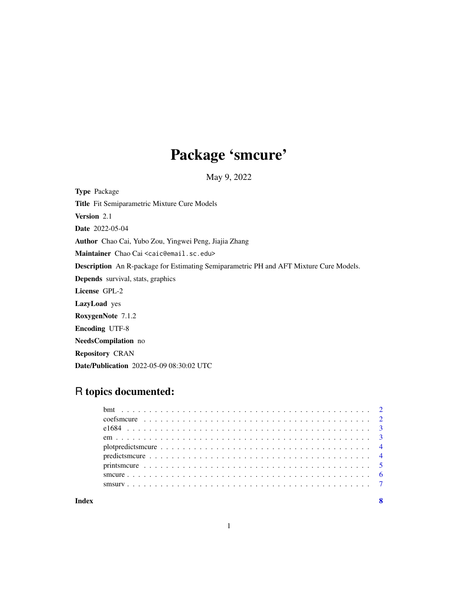## Package 'smcure'

May 9, 2022

Type Package Title Fit Semiparametric Mixture Cure Models Version 2.1 Date 2022-05-04 Author Chao Cai, Yubo Zou, Yingwei Peng, Jiajia Zhang Maintainer Chao Cai <caic@email.sc.edu> Description An R-package for Estimating Semiparametric PH and AFT Mixture Cure Models. Depends survival, stats, graphics License GPL-2 LazyLoad yes RoxygenNote 7.1.2 Encoding UTF-8 NeedsCompilation no Repository CRAN Date/Publication 2022-05-09 08:30:02 UTC

## R topics documented:

| Index |  |
|-------|--|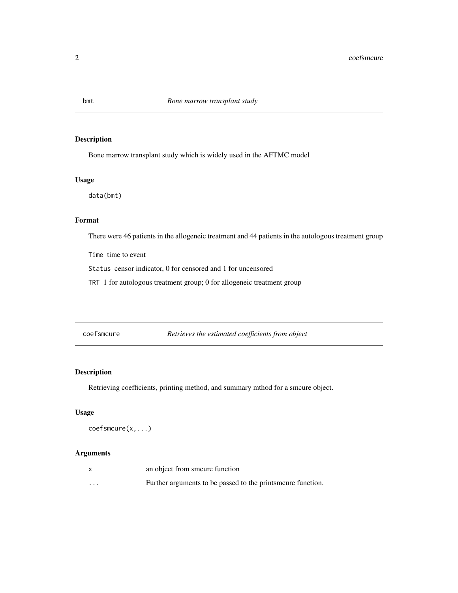## <span id="page-1-0"></span>Description

Bone marrow transplant study which is widely used in the AFTMC model

#### Usage

data(bmt)

## Format

There were 46 patients in the allogeneic treatment and 44 patients in the autologous treatment group

Time time to event

Status censor indicator, 0 for censored and 1 for uncensored

TRT 1 for autologous treatment group; 0 for allogeneic treatment group

coefsmcure *Retrieves the estimated coefficients from object*

#### Description

Retrieving coefficients, printing method, and summary mthod for a smcure object.

#### Usage

coefsmcure(x,...)

|          | an object from smoure function                              |
|----------|-------------------------------------------------------------|
| $\cdots$ | Further arguments to be passed to the prints more function. |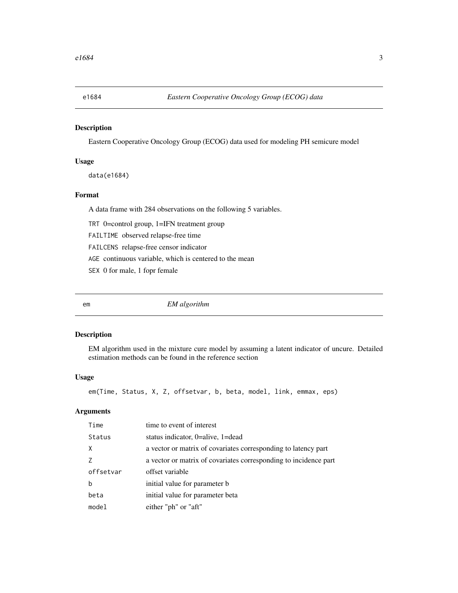<span id="page-2-0"></span>

## Description

Eastern Cooperative Oncology Group (ECOG) data used for modeling PH semicure model

#### Usage

data(e1684)

## Format

A data frame with 284 observations on the following 5 variables.

TRT 0=control group, 1=IFN treatment group

FAILTIME observed relapse-free time

FAILCENS relapse-free censor indicator

AGE continuous variable, which is centered to the mean

SEX 0 for male, 1 fopr female

em *EM algorithm*

#### Description

EM algorithm used in the mixture cure model by assuming a latent indicator of uncure. Detailed estimation methods can be found in the reference section

#### Usage

em(Time, Status, X, Z, offsetvar, b, beta, model, link, emmax, eps)

| Time      | time to event of interest                                        |
|-----------|------------------------------------------------------------------|
| Status    | status indicator, $0$ =alive, $1$ =dead                          |
| X         | a vector or matrix of covariates corresponding to latency part   |
|           | a vector or matrix of covariates corresponding to incidence part |
| offsetvar | offset variable                                                  |
| b         | initial value for parameter b                                    |
| beta      | initial value for parameter beta                                 |
| mode1     | either "ph" or "aft"                                             |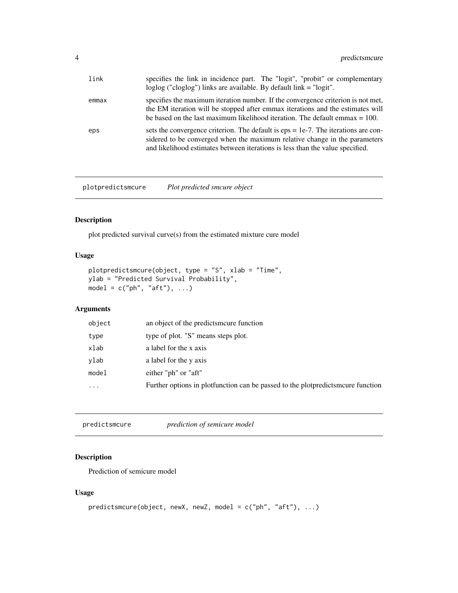<span id="page-3-0"></span>

| link  | specifies the link in incidence part. The "logit", "probit" or complementary<br>$loglog$ ("cloglog") links are available. By default link $=$ "logit".                                                                                               |
|-------|------------------------------------------------------------------------------------------------------------------------------------------------------------------------------------------------------------------------------------------------------|
| emmax | specifies the maximum iteration number. If the convergence criterion is not met,<br>the EM iteration will be stopped after emmax iterations and the estimates will<br>be based on the last maximum likelihood iteration. The default emmax $= 100$ . |
| eps   | sets the convergence criterion. The default is $eps = 1e-7$ . The iterations are con-<br>sidered to be converged when the maximum relative change in the parameters<br>and likelihood estimates between iterations is less than the value specified. |

plotpredictsmcure *Plot predicted smcure object*

## Description

plot predicted survival curve(s) from the estimated mixture cure model

## Usage

```
plotpredictsmcure(object, type = "S", xlab = "Time",
ylab = "Predicted Survival Probability",
model = c("ph", "aff"), ...)
```
## Arguments

| object   | an object of the predicts modern function                                         |
|----------|-----------------------------------------------------------------------------------|
| type     | type of plot. "S" means steps plot.                                               |
| xlab     | a label for the x axis                                                            |
| vlab     | a label for the y axis                                                            |
| model    | either "ph" or "aft"                                                              |
| $\cdots$ | Further options in plotfunction can be passed to the plot predicts meure function |
|          |                                                                                   |

predictsmcure *prediction of semicure model*

## Description

Prediction of semicure model

## Usage

```
predictsmcure(object, newX, newZ, model = c("ph", "aft"), ...)
```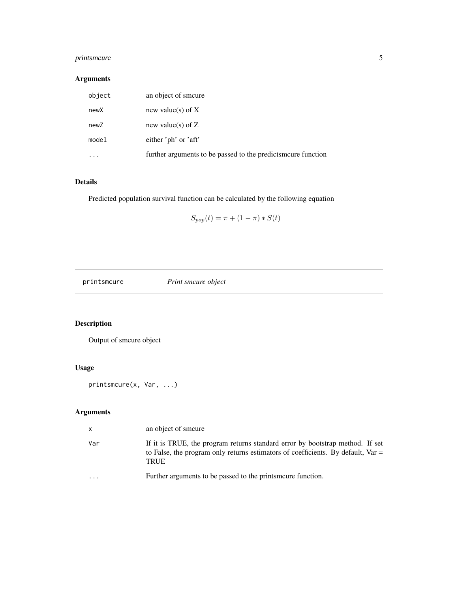## <span id="page-4-0"></span>printsmcure 5

## Arguments

| object | an object of smoure                                          |
|--------|--------------------------------------------------------------|
| newX   | new value(s) of $X$                                          |
| newZ   | new value(s) of $Z$                                          |
| model  | either 'ph' or 'aft'                                         |
|        | further arguments to be passed to the predicts more function |

## Details

Predicted population survival function can be calculated by the following equation

$$
S_{pop}(t) = \pi + (1 - \pi) * S(t)
$$

printsmcure *Print smcure object*

## Description

Output of smcure object

## Usage

printsmcure(x, Var, ...)

| $\mathsf{x}$            | an object of smoure                                                                                                                                                                |
|-------------------------|------------------------------------------------------------------------------------------------------------------------------------------------------------------------------------|
| Var                     | If it is TRUE, the program returns standard error by bootstrap method. If set<br>to False, the program only returns estimators of coefficients. By default, Var $=$<br><b>TRUE</b> |
| $\cdot$ $\cdot$ $\cdot$ | Further arguments to be passed to the prints more function.                                                                                                                        |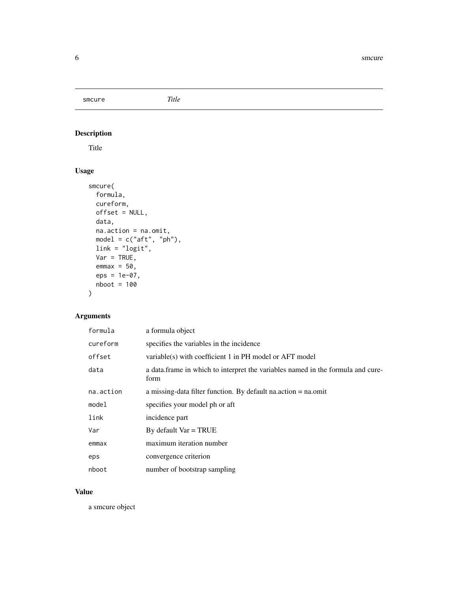<span id="page-5-0"></span>smcure *Title*

## Description

Title

## Usage

```
smcure(
 formula,
 cureform,
 offset = NULL,
 data,
 na.action = na.omit,
 model = c("aft", "ph"),
 link = "logit",
 Var = TRUE,emmax = 50,
 eps = 1e-07,
 nboot = 100
\mathcal{L}
```
## Arguments

| formula   | a formula object                                                                        |
|-----------|-----------------------------------------------------------------------------------------|
| cureform  | specifies the variables in the incidence                                                |
| offset    | variable(s) with coefficient 1 in PH model or AFT model                                 |
| data      | a data.frame in which to interpret the variables named in the formula and cure-<br>form |
| na.action | a missing-data filter function. By default nation = $na$ omit                           |
| model     | specifies your model ph or aft                                                          |
| link      | incidence part                                                                          |
| Var       | By default $Var = TRUE$                                                                 |
| emmax     | maximum iteration number                                                                |
| eps       | convergence criterion                                                                   |
| nboot     | number of bootstrap sampling                                                            |

## Value

a smcure object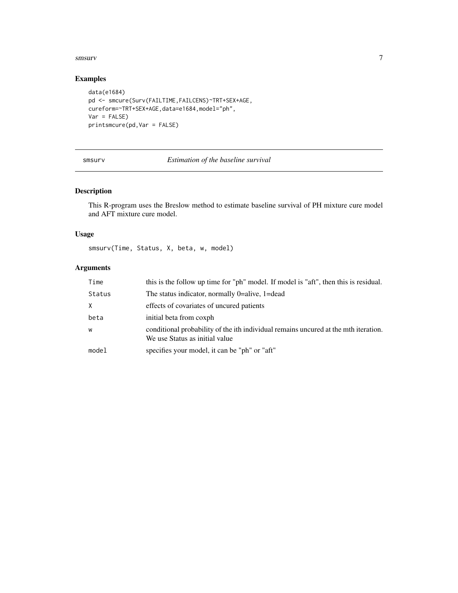#### <span id="page-6-0"></span>smsurv 7

## Examples

```
data(e1684)
pd <- smcure(Surv(FAILTIME,FAILCENS)~TRT+SEX+AGE,
cureform=~TRT+SEX+AGE,data=e1684,model="ph",
Var = FALSE)
printsmcure(pd,Var = FALSE)
```
## smsurv *Estimation of the baseline survival*

## Description

This R-program uses the Breslow method to estimate baseline survival of PH mixture cure model and AFT mixture cure model.

## Usage

smsurv(Time, Status, X, beta, w, model)

| Time   | this is the follow up time for "ph" model. If model is "aft", then this is residual.                                  |
|--------|-----------------------------------------------------------------------------------------------------------------------|
| Status | The status indicator, normally 0=alive, 1=dead                                                                        |
| X      | effects of covariates of uncured patients                                                                             |
| beta   | initial beta from coxph                                                                                               |
| W      | conditional probability of the ith individual remains uncured at the mth iteration.<br>We use Status as initial value |
| mode1  | specifies your model, it can be "ph" or "aft"                                                                         |